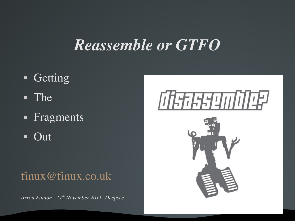#### *Reassemble or GTFO*

- **Getting**
- The
- Fragments
- $\blacksquare$  Out

#### [finux@finux.co.uk](mailto:finux@finux.co.uk)

*Arron Finnon 17th November 2011 Deepsec*

# 07年6月9007年

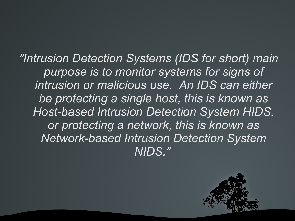*"Intrusion Detection Systems (IDS for short) main purpose is to monitor systems for signs of intrusion or malicious use. An IDS can either be protecting a single host, this is known as Host-based Intrusion Detection System HIDS, or protecting a network, this is known as Network-based Intrusion Detection System NIDS."* 

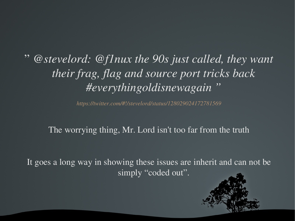" *@stevelord: @f1nux the 90s just called, they want their frag, flag and source port tricks back #everythingoldisnewagain "*

*<https://twitter.com/#!/stevelord/status/128029024172781569>*

The worrying thing, Mr. Lord isn't too far from the truth

It goes a long way in showing these issues are inherit and can not be simply "coded out".

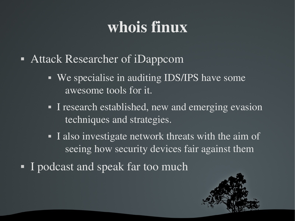# whois finux

- Attack Researcher of iDappcom
	- **We specialise in auditing IDS/IPS have some** awesome tools for it.
	- I research established, new and emerging evasion techniques and strategies.
	- I also investigate network threats with the aim of seeing how security devices fair against them
- I podcast and speak far too much

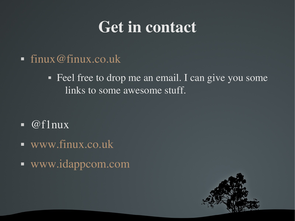### Get in contact

 $\blacksquare$  [finux@finux.co.uk](mailto:finux@finux.co.uk)

• Feel free to drop me an email. I can give you some links to some awesome stuff.

- $\blacksquare$  @f1nux
- [www.finux.co.uk](http://www.finux.co.uk/)
- [www.idappcom.com](http://www.idappcom.com/)

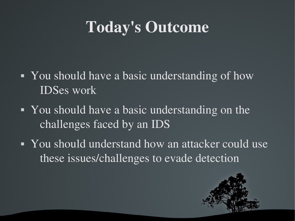# Today's Outcome

- You should have a basic understanding of how IDSes work
- You should have a basic understanding on the challenges faced by an IDS
- You should understand how an attacker could use these issues/challenges to evade detection

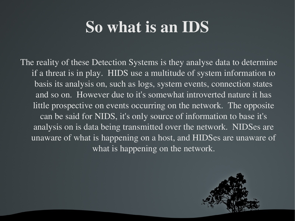# So what is an IDS

The reality of these Detection Systems is they analyse data to determine if a threat is in play. HIDS use a multitude of system information to basis its analysis on, such as logs, system events, connection states and so on. However due to it's somewhat introverted nature it has little prospective on events occurring on the network. The opposite can be said for NIDS, it's only source of information to base it's analysis on is data being transmitted over the network. NIDSes are unaware of what is happening on a host, and HIDSes are unaware of what is happening on the network.

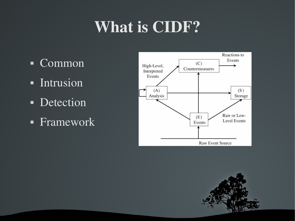# What is CIDF?

- Common
- **Intrusion**
- Detection
- **Framework**



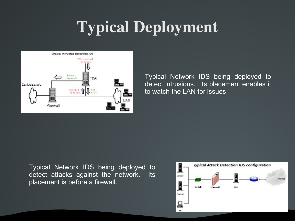# Typical Deployment



Typical Network IDS being deployed to detect intrusions. Its placement enables it to watch the LAN for issues

Typical Network IDS being deployed to detect attacks against the network. Its placement is before a firewall.

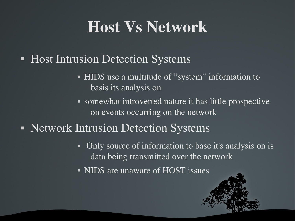### Host Vs Network

- Host Intrusion Detection Systems
	- HIDS use a multitude of "system" information to basis its analysis on
	- somewhat introverted nature it has little prospective on events occurring on the network
- Network Intrusion Detection Systems
	- Only source of information to base it's analysis on is data being transmitted over the network
	- NIDS are unaware of HOST issues

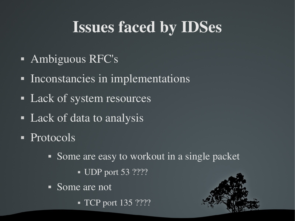# Issues faced by IDSes

- **Ambiguous RFC's**
- Inconstancies in implementations
- Lack of system resources
- Lack of data to analysis
- Protocols
	- Some are easy to workout in a single packet
		- $\blacksquare$  UDP port 53 ????
	- Some are not
		- **TCP** port 135 ????

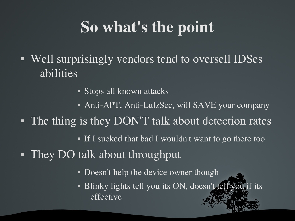# So what's the point

- Well surprisingly vendors tend to oversell IDSes abilities
	- Stops all known attacks
	- Anti-APT, Anti-LulzSec, will SAVE your company
- The thing is they DON'T talk about detection rates
	- If I sucked that bad I wouldn't want to go there too
- They DO talk about throughput
	- Doesn't help the device owner though
	- Blinky lights tell you its ON, doesn't tell you if its effective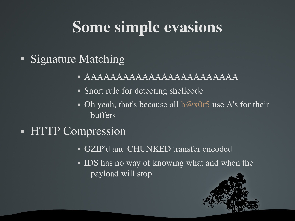# Some simple evasions

- Signature Matching
	- AAAAAAAAAAAAAAAAAAAAAAAA
	- Snort rule for detecting shellcode
	- Oh yeah, that's because all  $h@x0r5$  use A's for their buffers
- **HTTP Compression** 
	- GZIP'd and CHUNKED transfer encoded
	- IDS has no way of knowing what and when the payload will stop.

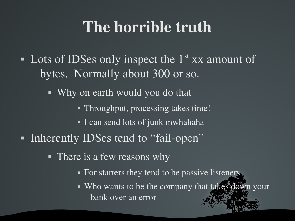### The horrible truth

- Lots of IDSes only inspect the  $1<sup>st</sup>$  xx amount of bytes. Normally about 300 or so.
	- Why on earth would you do that
		- Throughput, processing takes time!
		- I can send lots of junk mwhahaha
- Inherently IDSes tend to "fail-open"
	- There is a few reasons why
		- For starters they tend to be passive listeners.
		- Who wants to be the company that takes down your bank over an error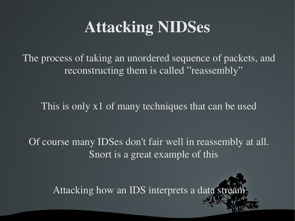# Attacking NIDSes

The process of taking an unordered sequence of packets, and reconstructing them is called "reassembly"

This is only x1 of many techniques that can be used

Of course many IDSes don't fair well in reassembly at all. Snort is a great example of this

Attacking how an IDS interprets a data stream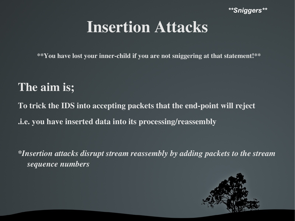*\*\*Sniggers\*\**

### Insertion Attacks

\*\*You have lost your inner-child if you are not sniggering at that statement!\*\*

#### The aim is;

To trick the IDS into accepting packets that the end-point will reject .i.e. you have inserted data into its processing/reassembly

*\*Insertion attacks disrupt stream reassembly by adding packets to the stream sequence numbers*

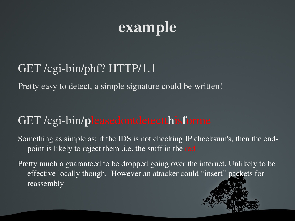# example

#### GET /cgi-bin/phf? HTTP/1.1

Pretty easy to detect, a simple signature could be written!

#### GET /cgi-bin/pleasedontdetectthisforme

Something as simple as; if the IDS is not checking IP checksum's, then the endpoint is likely to reject them .i.e. the stuff in the red

Pretty much a guaranteed to be dropped going over the internet. Unlikely to be effective locally though. However an attacker could "insert" packets for reassembly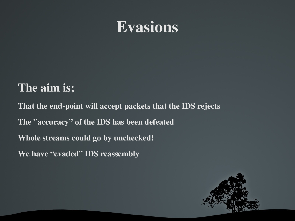### **Evasions**

#### The aim is;

That the end-point will accept packets that the IDS rejects The "accuracy" of the IDS has been defeated Whole streams could go by unchecked! We have "evaded" IDS reassembly

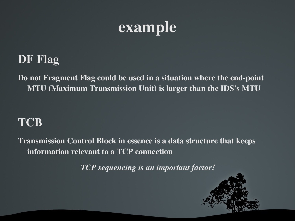

#### DF Flag

Do not Fragment Flag could be used in a situation where the end-point MTU (Maximum Transmission Unit) is larger than the IDS's MTU

#### **TCB**

Transmission Control Block in essence is a data structure that keeps information relevant to a TCP connection

*TCP sequencing is an important factor!* 

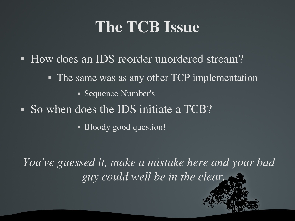# The TCB Issue

- How does an IDS reorder unordered stream?
	- The same was as any other TCP implementation
		- Sequence Number's
- So when does the IDS initiate a TCB?
	- Bloody good question!

*You've guessed it, make a mistake here and your bad guy could well be in the clear.*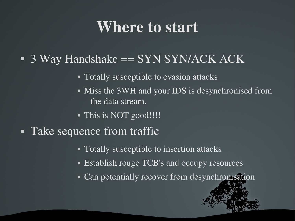### Where to start

#### $\blacksquare$  3 Way Handshake = SYN SYN/ACK ACK

- Totally susceptible to evasion attacks
- Miss the 3WH and your IDS is desynchronised from the data stream.
- This is NOT good!!!!
- Take sequence from traffic
	- Totally susceptible to insertion attacks
	- **Establish rouge TCB's and occupy resources**
	- Can potentially recover from desynchronisation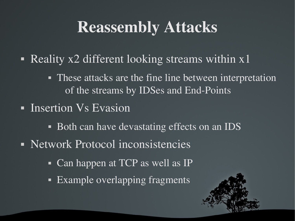# Reassembly Attacks

- Reality x2 different looking streams within x1
	- These attacks are the fine line between interpretation of the streams by IDSes and End-Points
- **Insertion Vs Evasion** 
	- Both can have devastating effects on an IDS
- Network Protocol inconsistencies
	- Can happen at TCP as well as IP
	- **Example overlapping fragments**

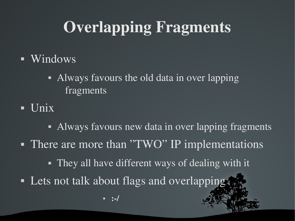# Overlapping Fragments

- **Windows** 
	- Always favours the old data in over lapping fragments
- $\blacksquare$  Unix

• Always favours new data in over lapping fragments • There are more than "TWO" IP implementations • They all have different ways of dealing with it • Lets not talk about flags and overlapping. :/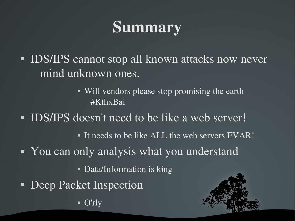# **Summary**

- IDS/IPS cannot stop all known attacks now never mind unknown ones.
	- Will vendors please stop promising the earth #KthxBai
- IDS/IPS doesn't need to be like a web server!
	- It needs to be like ALL the web servers EVAR!
- You can only analysis what you understand
	- Data/Information is king
- Deep Packet Inspection

 $\bullet$  O'rly